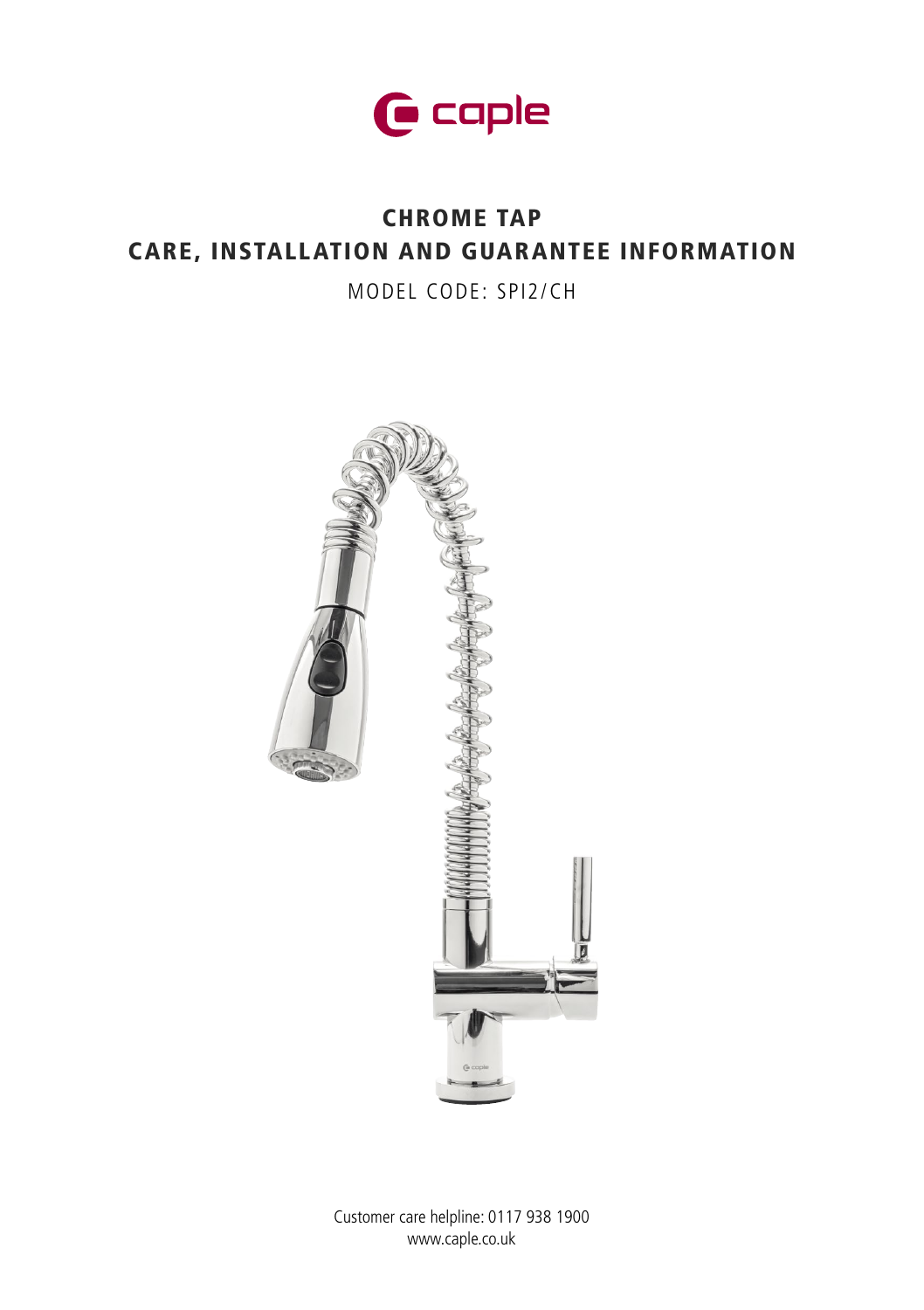

# CHROME TAP CARE, INSTALLATION AND GUARANTEE INFORMATION

MODEL CODE: SPI2/CH



Customer care helpline: 0117 938 1900 www.caple.co.uk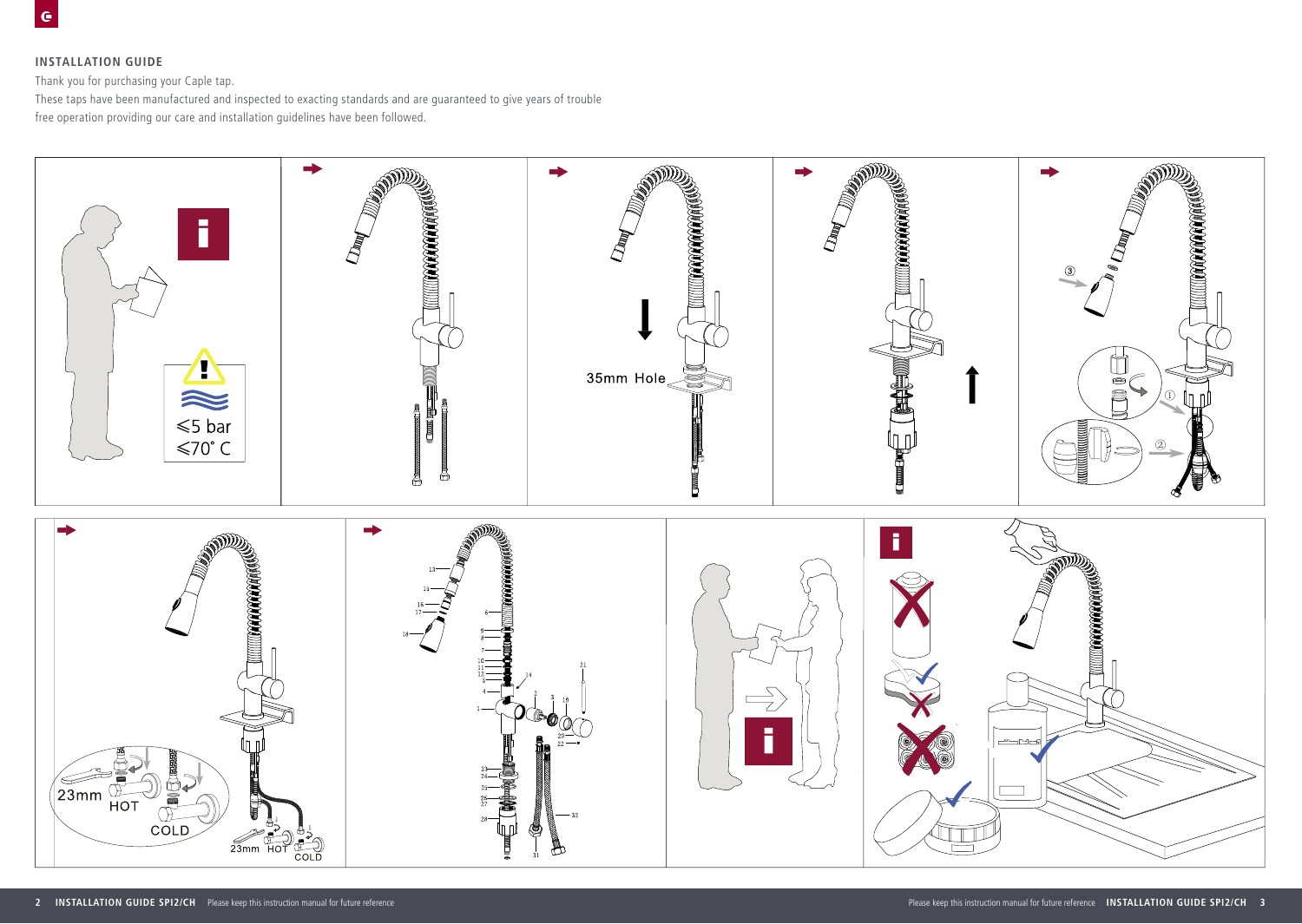## **INSTALLATION GUIDE**

Thank you for purchasing your Caple tap.

These taps have been manufactured and inspected to exacting standards and are guaranteed to give years of trouble free operation providing our care and installation guidelines have been followed.